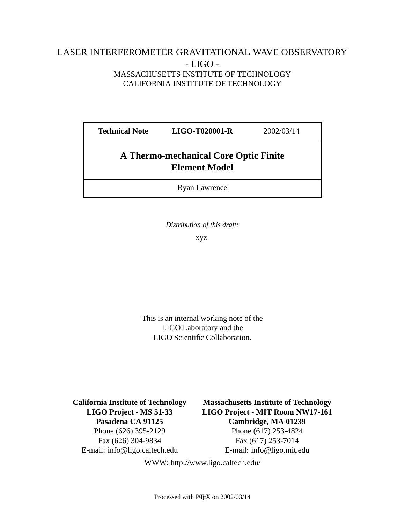## LASER INTERFEROMETER GRAVITATIONAL WAVE OBSERVATORY - LIGO - MASSACHUSETTS INSTITUTE OF TECHNOLOGY CALIFORNIA INSTITUTE OF TECHNOLOGY

| <b>Technical Note</b>                                                | <b>LIGO-T020001-R</b> | 2002/03/14 |
|----------------------------------------------------------------------|-----------------------|------------|
| <b>A Thermo-mechanical Core Optic Finite</b><br><b>Element Model</b> |                       |            |
| <b>Ryan Lawrence</b>                                                 |                       |            |

*Distribution of this draft:*

xyz

This is an internal working note of the LIGO Laboratory and the LIGO Scientific Collaboration.

E-mail: info@ligo.caltech.edu E-mail: info@ligo.mit.edu

**California Institute of Technology Massachusetts Institute of Technology LIGO Project - MS 51-33 LIGO Project - MIT Room NW17-161 Pasadena CA 91125 Cambridge, MA 01239** Phone (626) 395-2129 Phone (617) 253-4824 Fax (626) 304-9834 Fax (617) 253-7014

WWW: http://www.ligo.caltech.edu/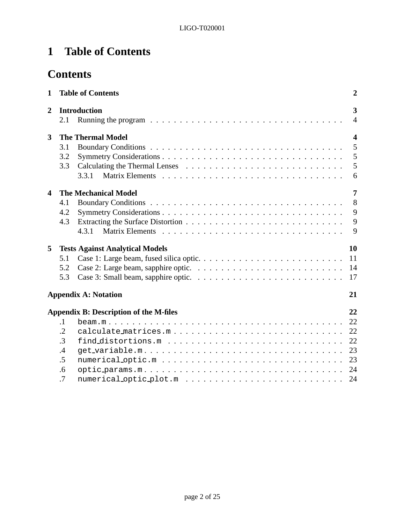# **1 Table of Contents**

# **Contents**

| $\mathbf{1}$            |            | <b>Table of Contents</b>                                                                           | $\boldsymbol{2}$        |
|-------------------------|------------|----------------------------------------------------------------------------------------------------|-------------------------|
| $\overline{2}$          |            | <b>Introduction</b>                                                                                | 3                       |
|                         | 2.1        | Running the program $\ldots \ldots \ldots \ldots \ldots \ldots \ldots \ldots \ldots \ldots \ldots$ | $\overline{4}$          |
| 3                       |            | <b>The Thermal Model</b>                                                                           | $\overline{\mathbf{4}}$ |
|                         | 3.1        |                                                                                                    | 5                       |
|                         | 3.2        |                                                                                                    | 5                       |
|                         | 3.3        |                                                                                                    | 5                       |
|                         |            |                                                                                                    | 6                       |
| $\overline{\mathbf{4}}$ |            | <b>The Mechanical Model</b>                                                                        | $\overline{7}$          |
|                         | 4.1        |                                                                                                    | 8                       |
|                         | 4.2        |                                                                                                    | 9                       |
|                         | 4.3        |                                                                                                    | 9                       |
|                         |            | 4.3.1                                                                                              | $\mathbf{Q}$            |
| 5                       |            | <b>Tests Against Analytical Models</b>                                                             | 10                      |
|                         | 5.1        |                                                                                                    | 11                      |
|                         | 5.2        |                                                                                                    | 14                      |
|                         | 5.3        |                                                                                                    | 17                      |
|                         |            | <b>Appendix A: Notation</b>                                                                        | 21                      |
|                         |            | <b>Appendix B: Description of the M-files</b>                                                      | 22                      |
|                         | $\cdot$ 1  |                                                                                                    | 22                      |
|                         | $\cdot$ .2 | calculate_matrices.m                                                                               | 22                      |
|                         | $\cdot$ 3  |                                                                                                    | 22                      |
|                         | .4         |                                                                                                    | 23                      |
|                         | .5         |                                                                                                    | 23                      |
|                         | .6         |                                                                                                    | 24                      |
|                         | .7         |                                                                                                    | 24                      |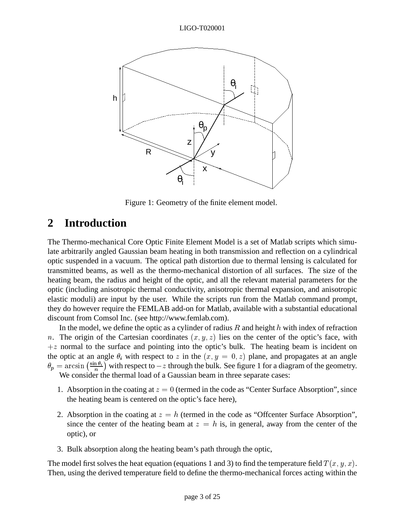

Figure 1: Geometry of the finite element model.

## **2 Introduction**

The Thermo-mechanical Core Optic Finite Element Model is a set of Matlab scripts which simulate arbitrarily angled Gaussian beam heating in both transmission and reflection on a cylindrical optic suspended in a vacuum. The optical path distortion due to thermal lensing is calculated for transmitted beams, as well as the thermo-mechanical distortion of all surfaces. The size of the heating beam, the radius and height of the optic, and all the relevant material parameters for the optic (including anisotropic thermal conductivity, anisotropic thermal expansion, and anisotropic elastic moduli) are input by the user. While the scripts run from the Matlab command prompt, they do however require the FEMLAB add-on for Matlab, available with a substantial educational discount from Comsol Inc. (see http://www.femlab.com).

In the model, we define the optic as a cylinder of radius R and height h with index of refraction n. The origin of the Cartesian coordinates  $(x, y, z)$  lies on the center of the optic's face, with  $+z$  normal to the surface and pointing into the optic's bulk. The heating beam is incident on the optic at an angle  $\theta_i$  with respect to z in the  $(x, y = 0, z)$  plane, and propagates at an angle  $\theta_p = \arcsin \left( \frac{\sin \theta_i}{n} \right)$  with respect to  $-z$  through the bulk. See figure 1 for a diagram of the geometry. We consider the thermal load of a Gaussian beam in three separate cases:

- 1. Absorption in the coating at  $z = 0$  (termed in the code as "Center Surface Absorption", since the heating beam is centered on the optic's face here),
- 2. Absorption in the coating at  $z = h$  (termed in the code as "Offcenter Surface Absorption", since the center of the heating beam at  $z = h$  is, in general, away from the center of the optic), or
- 3. Bulk absorption along the heating beam's path through the optic,

The model first solves the heat equation (equations 1 and 3) to find the temperature field  $T(x, y, x)$ . Then, using the derived temperature field to define the thermo-mechanical forces acting within the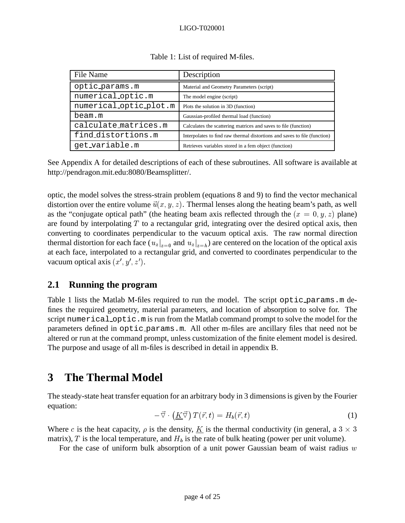| File Name              | Description                                                               |
|------------------------|---------------------------------------------------------------------------|
| optic_params.m         | Material and Geometry Parameters (script)                                 |
| numerical_optic.m      | The model engine (script)                                                 |
| numerical_optic_plot.m | Plots the solution in 3D (function)                                       |
| beam.m                 | Gaussian-profiled thermal load (function)                                 |
| calculate_matrices.m   | Calculates the scattering matrices and saves to file (function)           |
| find_distortions.m     | Interpolates to find raw thermal distortions and saves to file (function) |
| get_variable.m         | Retrieves variables stored in a fem object (function)                     |

Table 1: List of required M-files.

See Appendix A for detailed descriptions of each of these subroutines. All software is available at http://pendragon.mit.edu:8080/Beamsplitter/.

optic, the model solves the stress-strain problem (equations 8 and 9) to find the vector mechanical distortion over the entire volume  $\vec{u}(x, y, z)$ . Thermal lenses along the heating beam's path, as well as the "conjugate optical path" (the heating beam axis reflected through the  $(x = 0, y, z)$  plane) are found by interpolating  $T$  to a rectangular grid, integrating over the desired optical axis, then converting to coordinates perpendicular to the vacuum optical axis. The raw normal direction thermal distortion for each face ( $u_z|_{z=0}$  and  $u_z|_{z=b}$ ) are centered on the location of the optical axis at each face, interpolated to a rectangular grid, and converted to coordinates perpendicular to the vacuum optical axis  $(x', y', z')$ .

## **2.1 Running the program**

Table 1 lists the Matlab M-files required to run the model. The script optic params.m defines the required geometry, material parameters, and location of absorption to solve for. The script numerical optic.m is run from the Matlab command prompt to solve the model for the parameters defined in optic params.m. All other m-files are ancillary files that need not be altered or run at the command prompt, unless customization of the finite element model is desired. The purpose and usage of all m-files is described in detail in appendix B.

# **3 The Thermal Model**

The steady-state heat transfer equation for an arbitrary body in 3 dimensions is given by the Fourier equation:

$$
-\vec{\nabla} \cdot \left(\underline{K}\vec{\nabla}\right)T(\vec{r},t) = H_b(\vec{r},t) \tag{1}
$$

Where c is the heat capacity,  $\rho$  is the density,  $\underline{K}$  is the thermal conductivity (in general, a 3  $\times$  3 matrix), T is the local temperature, and  $H_b$  is the rate of bulk heating (power per unit volume).

For the case of uniform bulk absorption of a unit power Gaussian beam of waist radius  $w$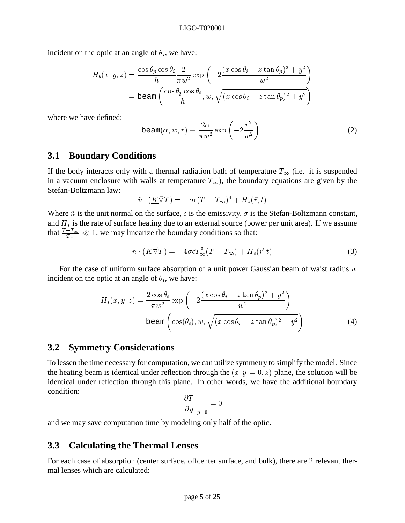incident on the optic at an angle of  $\theta_i$ , we have:

$$
H_b(x, y, z) = \frac{\cos \theta_p \cos \theta_i}{h} \frac{2}{\pi w^2} \exp\left(-2\frac{(x \cos \theta_i - z \tan \theta_p)^2 + y^2}{w^2}\right)
$$

$$
= \text{beam}\left(\frac{\cos \theta_p \cos \theta_i}{h}, w, \sqrt{(x \cos \theta_i - z \tan \theta_p)^2 + y^2}\right)
$$

where we have defined:

$$
\text{beam}(\alpha, w, r) \equiv \frac{2\alpha}{\pi w^2} \exp\left(-2\frac{r^2}{w^2}\right). \tag{2}
$$

#### **3.1 Boundary Conditions**

If the body interacts only with a thermal radiation bath of temperature  $T_{\infty}$  (i.e. it is suspended in a vacuum enclosure with walls at temperature  $T_{\infty}$ ), the boundary equations are given by the Stefan-Boltzmann law:

$$
\hat{n} \cdot (\underline{K} \vec{\triangledown} T) = -\sigma \epsilon (T - T_{\infty})^4 + H_s(\vec{r}, t)
$$

Where  $\hat{n}$  is the unit normal on the surface,  $\epsilon$  is the emissivity,  $\sigma$  is the Stefan-Boltzmann constant, and  $H_s$  is the rate of surface heating due to an external source (power per unit area). If we assume that  $\frac{T-T_{\infty}}{T_{\infty}} \ll 1$ , we may linearize the boundary conditions so that:

$$
\hat{n} \cdot (\underline{K} \vec{\triangledown} T) = -4\sigma \epsilon T_{\infty}^{3} (T - T_{\infty}) + H_{s}(\vec{r}, t)
$$
\n(3)

For the case of uniform surface absorption of a unit power Gaussian beam of waist radius  $w$ incident on the optic at an angle of  $\theta_i$ , we have:

$$
H_s(x, y, z) = \frac{2 \cos \theta_i}{\pi w^2} \exp\left(-2\frac{(x \cos \theta_i - z \tan \theta_p)^2 + y^2}{w^2}\right)
$$
  
= beam  $\left(\cos(\theta_i), w, \sqrt{(x \cos \theta_i - z \tan \theta_p)^2 + y^2}\right)$  (4)

#### **3.2 Symmetry Considerations**

To lessen the time necessary for computation, we can utilize symmetry to simplify the model. Since the heating beam is identical under reflection through the  $(x, y = 0, z)$  plane, the solution will be identical under reflection through this plane. In other words, we have the additional boundary condition: the contract of the contract of the contract of the contract of the contract of

$$
\left.\frac{\partial T}{\partial y}\right|_{y=0}=0
$$

and we may save computation time by modeling only half of the optic.

## **3.3 Calculating the Thermal Lenses**

For each case of absorption (center surface, offcenter surface, and bulk), there are 2 relevant thermal lenses which are calculated: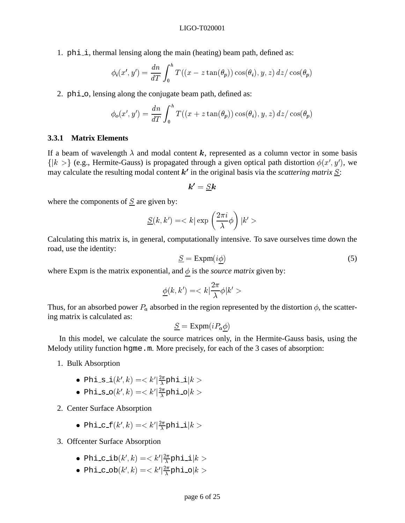1.  $phi$ , thermal lensing along the main (heating) beam path, defined as:

$$
\phi_i(x',y') = \frac{dn}{dT} \int_0^h T((x - z \tan(\theta_p)) \cos(\theta_i), y, z) dz / \cos(\theta_p)
$$

2. phi\_o, lensing along the conjugate beam path, defined as:

$$
\phi_o(x', y') = \frac{dn}{dT} \int_0^h T((x + z \tan(\theta_p)) \cos(\theta_i), y, z) dz / \cos(\theta_p)
$$

#### **3.3.1 Matrix Elements**

If a beam of wavelength  $\lambda$  and modal content k, represented as a column vector in some basis  $\{|k\rangle\rangle$  (e.g., Hermite-Gauss) is propagated through a given optical path distortion  $\phi(x', y')$ , we may calculate the resulting modal content  $k'$  in the original basis via the *scattering matrix*  $S$ :

$$
\bm{k'} = S\bm{k}
$$

where the components of  $S$  are given by:

$$
\underline{S}(k,k')=
$$

Calculating this matrix is, in general, computationally intensive. To save ourselves time down the road, use the identity:

$$
\underline{S} = \text{Expm}(i\underline{\phi})\tag{5}
$$

where Expm is the matrix exponential, and  $\phi$  is the *source matrix* given by:

$$
\underline{\phi}(k,k')=
$$

Thus, for an absorbed power  $P_a$  absorbed in the region represented by the distortion  $\phi$ , the scattering matrix is calculated as:

$$
\underline{S} = \text{Expm}(i P_a \phi)
$$

In this model, we calculate the source matrices only, in the Hermite-Gauss basis, using the Melody utility function hgme.m. More precisely, for each of the 3 cases of absorption:

- 1. Bulk Absorption
	- $\bullet$  Phi\_s\_i $(k',k)=< k'|\frac{2\pi}{\lambda}$ phi\_i $|k>$
	- $\bullet$  Phi\_s\_o $(k',k)=< k'|\frac{2\pi}{\lambda}$ phi\_o $|k>$

2. Center Surface Absorption

- $\bullet$  Phi\_c\_f $(k',k)=< k'|\frac{2\pi}{\lambda}$ phi\_i $|k>$
- 3. Offcenter Surface Absorption
	- $\bullet$  Phi\_c\_ib $(k',k)=< k'|\frac{2\pi}{\lambda}$ phi\_i $|k>$
	- $\bullet$  Phi\_c\_ob $(k',k)=< k'|\frac{2\pi}{\lambda}$ phi\_o $|k>$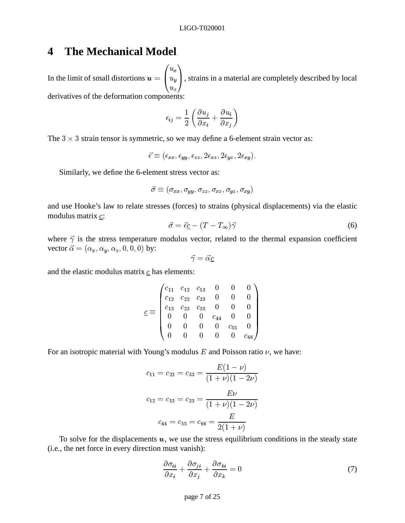# **4 The Mechanical Model**

In the limit of small distortions  $u = \begin{pmatrix} u_x \\ u_y \end{pmatrix}$ , strains in a  $\sim$  uz  $\sim$  uz  $\sim$  uz  $\sim$  uz  $\sim$  uz  $\sim$  uz  $\sim$  uz  $\sim$  uz  $\sim$  uz  $\sim$  uz  $\sim$  uz  $\sim$  uz  $\sim$  uz  $\sim$  uz  $\sim$  uz  $\sim$  uz  $\sim$  uz  $\sim$  uz  $\sim$  uz  $\sim$  uz  $\sim$  uz  $\sim$  uz  $\sim$  uz  $\sim$  uz  $\sim$  uz  $\sim$  uz  $\sim$  uz  $\sim$   $\cdots$  u  $\cdots$  $\begin{pmatrix} u_x \ u_y \ u_z \end{pmatrix}$  , strains in a mat <sup>A</sup>, strains in a material are completely described by local derivatives of the deformation components:

$$
\epsilon_{ij} = \frac{1}{2} \left( \frac{\partial u_j}{\partial x_i} + \frac{\partial u_i}{\partial x_j} \right)
$$

The  $3 \times 3$  strain tensor is symmetric, so we may define a 6-element strain vector as:

$$
\vec{\epsilon} \equiv (\epsilon_{xx}, \epsilon_{yy}, \epsilon_{zz}, 2\epsilon_{xz}, 2\epsilon_{yz}, 2\epsilon_{xy}).
$$

Similarly, we define the 6-element stress vector as:

$$
\vec{\sigma} \equiv (\sigma_{xx}, \sigma_{yy}, \sigma_{zz}, \sigma_{xz}, \sigma_{yz}, \sigma_{xy})
$$

and use Hooke's law to relate stresses (forces) to strains (physical displacements) via the elastic modulus matrix  $\mathfrak{c}$ :

$$
\vec{\sigma} = \vec{\epsilon} \underline{c} - (T - T_{\infty}) \vec{\gamma} \tag{6}
$$

where  $\vec{\gamma}$  is the stress temperature modulus vector, related to the thermal expansion coefficient vector  $\vec{\alpha} = (\alpha_x, \alpha_y, \alpha_z, 0, 0, 0)$  by:

$$
\vec{\gamma}=\vec{\alpha}\underline{c}
$$

and the elastic modulus matrix  $\mathbf{c}$  has elements:

$$
\underline{c} \equiv \begin{pmatrix} c_{11} & c_{12} & c_{13} & 0 & 0 & 0 \\ c_{12} & c_{22} & c_{23} & 0 & 0 & 0 \\ c_{13} & c_{23} & c_{33} & 0 & 0 & 0 \\ 0 & 0 & 0 & c_{44} & 0 & 0 \\ 0 & 0 & 0 & 0 & c_{55} & 0 \\ 0 & 0 & 0 & 0 & 0 & c_{66} \end{pmatrix}
$$

For an isotropic material with Young's modulus  $E$  and Poisson ratio  $\nu$ , we have:

$$
c_{11} = c_{22} = c_{33} = \frac{E(1 - \nu)}{(1 + \nu)(1 - 2\nu)}
$$

$$
c_{12} = c_{13} = c_{23} = \frac{E\nu}{(1 + \nu)(1 - 2\nu)}
$$

$$
c_{44} = c_{55} = c_{66} = \frac{E}{2(1 + \nu)}
$$

To solve for the displacements  $u$ , we use the stress equilibrium conditions in the steady state (i.e., the net force in every direction must vanish):

$$
\frac{\partial \sigma_{ii}}{\partial x_i} + \frac{\partial \sigma_{ji}}{\partial x_j} + \frac{\partial \sigma_{ki}}{\partial x_k} = 0 \tag{7}
$$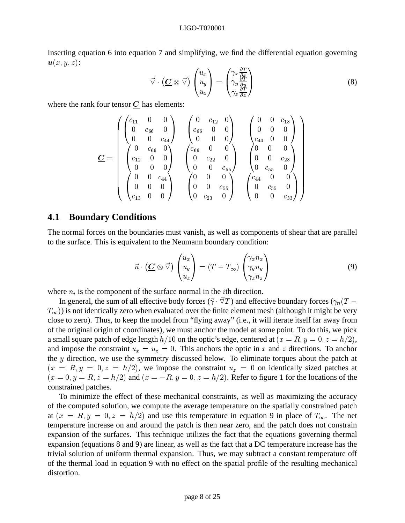Inserting equation 6 into equation 7 and simplifying, we find the differential equation governing  $\mathbf{u}(x, y, z)$ :

$$
\vec{\nabla} \cdot (\underline{\mathbf{C}} \otimes \vec{\nabla}) \begin{pmatrix} u_x \\ u_y \\ u_z \end{pmatrix} = \begin{pmatrix} \gamma_x \frac{\partial T}{\partial x} \\ \gamma_y \frac{\partial T}{\partial y} \\ \gamma_z \frac{\partial T}{\partial z} \end{pmatrix}
$$
(8)

where the rank four tensor  $C$  has elements:

$$
\underline{C} = \begin{pmatrix} \begin{pmatrix} c_{11} & 0 & 0 \\ 0 & c_{66} & 0 \\ 0 & 0 & c_{44} \end{pmatrix} & \begin{pmatrix} 0 & c_{12} & 0 \\ c_{66} & 0 & 0 \\ 0 & 0 & 0 \end{pmatrix} & \begin{pmatrix} 0 & 0 & c_{13} \\ 0 & 0 & 0 \\ c_{44} & 0 & 0 \end{pmatrix} \\ \begin{pmatrix} 0 & c_{66} & 0 \\ c_{12} & 0 & 0 \\ 0 & 0 & 0 \end{pmatrix} & \begin{pmatrix} c_{66} & 0 & 0 \\ 0 & c_{22} & 0 \\ 0 & 0 & c_{55} \end{pmatrix} & \begin{pmatrix} 0 & 0 & 0 \\ 0 & 0 & c_{23} \\ 0 & c_{55} & 0 \end{pmatrix} \\ \begin{pmatrix} 0 & 0 & c_{44} \\ 0 & 0 & 0 \\ c_{13} & 0 & 0 \end{pmatrix} & \begin{pmatrix} 0 & 0 & 0 \\ 0 & 0 & c_{55} \\ 0 & c_{23} & 0 \end{pmatrix} & \begin{pmatrix} c_{44} & 0 & 0 \\ 0 & c_{55} & 0 \\ 0 & 0 & c_{33} \end{pmatrix}
$$

#### **4.1 Boundary Conditions**

The normal forces on the boundaries must vanish, as well as components of shear that are parallel to the surface. This is equivalent to the Neumann boundary condition:

$$
\vec{n} \cdot (\underline{\boldsymbol{C}} \otimes \vec{\triangledown}) \begin{pmatrix} u_x \\ u_y \\ u_z \end{pmatrix} = (T - T_{\infty}) \begin{pmatrix} \gamma_x n_x \\ \gamma_y n_y \\ \gamma_z n_z \end{pmatrix}
$$
(9)

where  $n_i$  is the component of the surface normal in the *i*th direction.

In general, the sum of all effective body forces  $(\vec{\gamma} \cdot \vec{\nabla}T)$  and effective boundary forces  $(\gamma_n(T T_{\infty}$ )) is not identically zero when evaluated over the finite element mesh (although it might be very close to zero). Thus, to keep the model from "flying away" (i.e., it will iterate itself far away from of the original origin of coordinates), we must anchor the model at some point. To do this, we pick a small square patch of edge length  $h/10$  on the optic's edge, centered at  $(x = R, y = 0, z = h/2)$ , and impose the constraint  $u_x = u_z = 0$ . This anchors the optic in x and z directions. To anchor the <sup>y</sup> direction, we use the symmetry discussed below. To eliminate torques about the patch at  $(x = R, y = 0, z = h/2)$ , we impose the constraint  $u<sub>z</sub> = 0$  on identically sized patches at  $(x = 0, y = R, z = h/2)$  and  $(x = -R, y = 0, z = h/2)$ . Refer to figure 1 for the locations of the constrained patches.

To minimize the effect of these mechanical constraints, as well as maximizing the accuracy of the computed solution, we compute the average temperature on the spatially constrained patch at  $(x = R, y = 0, z = h/2)$  and use this temperature in equation 9 in place of  $T_{\infty}$ . The net temperature increase on and around the patch is then near zero, and the patch does not constrain expansion of the surfaces. This technique utilizes the fact that the equations governing thermal expansion (equations 8 and 9) are linear, as well as the fact that a DC temperature increase has the trivial solution of uniform thermal expansion. Thus, we may subtract a constant temperature off of the thermal load in equation 9 with no effect on the spatial profile of the resulting mechanical distortion.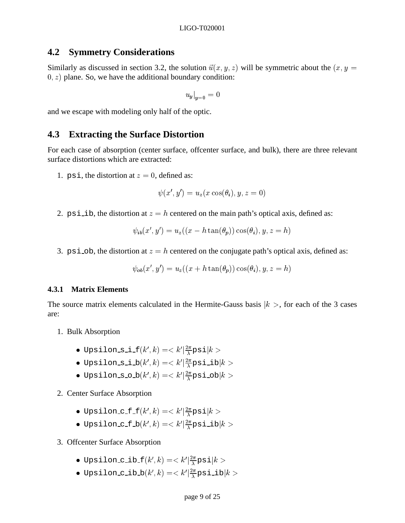### **4.2 Symmetry Considerations**

Similarly as discussed in section 3.2, the solution  $\vec{u}(x, y, z)$  will be symmetric about the  $(x, y =$  $(0, z)$  plane. So, we have the additional boundary condition:

$$
u_y|_{y=0} = 0
$$

and we escape with modeling only half of the optic.

### **4.3 Extracting the Surface Distortion**

For each case of absorption (center surface, offcenter surface, and bulk), there are three relevant surface distortions which are extracted:

1. psi, the distortion at  $z = 0$ , defined as:

$$
\psi(x',y')=u_z(x\cos(\theta_i),y,z=0)
$$

2. psi ib, the distortion at  $z = h$  centered on the main path's optical axis, defined as:

$$
\psi_{ib}(x',y') = u_z((x - h \tan(\theta_p)) \cos(\theta_i), y, z = h)
$$

3. psi ob, the distortion at  $z = h$  centered on the conjugate path's optical axis, defined as:

$$
\psi_{ob}(x',y') = u_z((x+h\tan(\theta_p))\cos(\theta_i),y,z=h)
$$

#### **4.3.1 Matrix Elements**

The source matrix elements calculated in the Hermite-Gauss basis  $|k\rangle$ , for each of the 3 cases are:

- 1. Bulk Absorption
	- $\bullet$  Upsilon\_s\_i\_f $(k',k)=< k'|\frac{2\pi}{\lambda}$ psi $|k>$
	- $\bullet$  Upsilon s\_i\_b $(k',k)=< k'|\frac{2\pi}{\lambda}$ psi\_ib $|k>$
	- $\bullet$  Upsilon\_s\_o\_b $(k',k)=< k'|\frac{2\pi}{\lambda}$ psi\_ob $|k>$

#### 2. Center Surface Absorption

- $\bullet$  Upsilon\_c\_f\_f $(k',k)=< k'|\frac{2\pi}{\lambda}$ psi $|k>$
- $\bullet$  Upsilon\_c\_f\_b $(k',k)=< k'|\frac{2\pi}{\lambda}$ psi\_ib $|k>$

#### 3. Offcenter Surface Absorption

- $\bullet$  Upsilon\_c\_ib\_f $(k',k)=< k'|\frac{2\pi}{\lambda}$ psi $|k>$
- $\bullet$  Upsilon\_c\_ib\_b $(k',k)=< k'|\frac{2\pi}{\lambda}$ psi\_ib $|k>$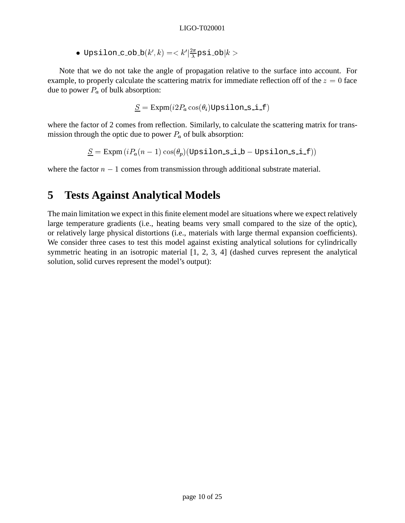$\bullet$  Upsilon\_c\_ob\_b $(k',k)=< k'|\frac{2\pi}{\lambda}$ psi\_ob $|k>$ 

Note that we do not take the angle of propagation relative to the surface into account. For example, to properly calculate the scattering matrix for immediate reflection off of the  $z = 0$  face due to power  $P_a$  of bulk absorption:

$$
\underline{S} = \text{Expm}(i2P_a\cos(\theta_i)\text{Upsilon\_si\_f})
$$

where the factor of 2 comes from reflection. Similarly, to calculate the scattering matrix for transmission through the optic due to power  $P_a$  of bulk absorption:

$$
\underline{S} = \text{Expm}(i P_a(n-1)\cos(\theta_p)(\text{Upsilon.s.i.b}-\text{Upsilon.s.i.f}))
$$

where the factor  $n - 1$  comes from transmission through additional substrate material.

# **5 Tests Against Analytical Models**

The main limitation we expect in this finite element model are situations where we expect relatively large temperature gradients (i.e., heating beams very small compared to the size of the optic), or relatively large physical distortions (i.e., materials with large thermal expansion coefficients). We consider three cases to test this model against existing analytical solutions for cylindrically symmetric heating in an isotropic material [1, 2, 3, 4] (dashed curves represent the analytical solution, solid curves represent the model's output):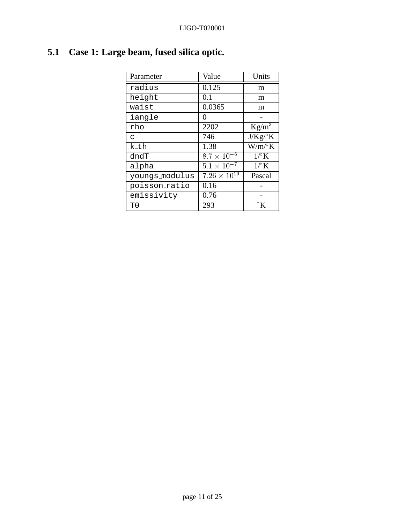| Parameter      | Value                 | Units                   |
|----------------|-----------------------|-------------------------|
| radius         | 0.125                 | m                       |
| height         | 0.1                   | m                       |
| waist          | 0.0365                | m                       |
| iangle         | 0                     |                         |
| rho            | 2202                  | $Kg/m^3$                |
| C              | 746                   | $J/Kg$ / $K$            |
| k_th           | 1.38                  | $W/m$ <sup>o</sup> $K$  |
| dndT           | $8.7 \times 10^{-6}$  | $1^\circ$ K             |
| alpha          | $5.1 \times 10^{-7}$  | $1^\circ$ K             |
| youngs_modulus | $7.26 \times 10^{10}$ | Pascal                  |
| poisson ratio  | 0.16                  |                         |
| emissivity     | 0.76                  |                         |
| T0             | 293                   | $\mathcal{C}^{\circ}$ K |

# **5.1 Case 1: Large beam, fused silica optic.**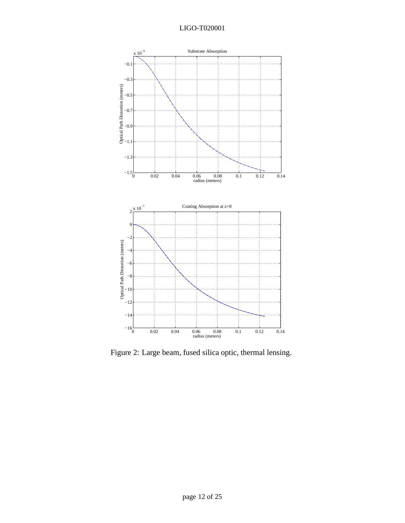

Figure 2: Large beam, fused silica optic, thermal lensing.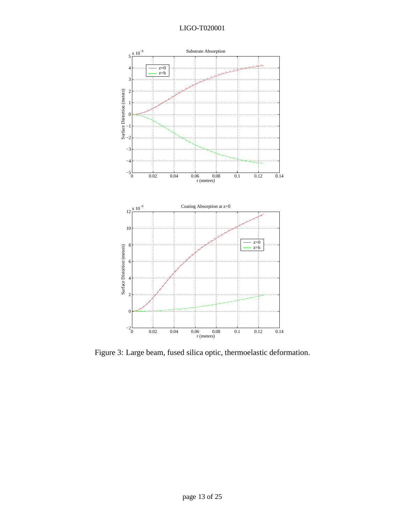

Figure 3: Large beam, fused silica optic, thermoelastic deformation.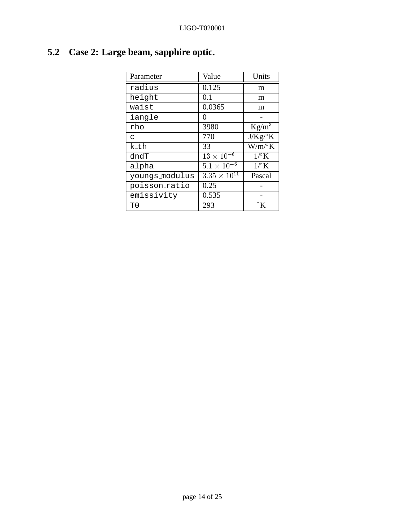| Parameter      | Value                | Units           |
|----------------|----------------------|-----------------|
| radius         | 0.125                | m               |
| height         | 0.1                  | m               |
| waist          | 0.0365               | m               |
| iangle         | 0                    |                 |
| rho            | 3980                 | $Kg/m^3$        |
| C              | 770                  | $J/Kg$ / $K$    |
| k_th           | 33                   | $W/m^{\circ}K$  |
| dndT           | $13 \times 10^{-6}$  | $1^\circ$ K     |
| alpha          | $5.1 \times 10^{-6}$ | $1^\circ$ K     |
| youngs_modulus | $3.35\times10^{11}$  | Pascal          |
| poisson ratio  | 0.25                 |                 |
| emissivity     | 0.535                |                 |
| T0             | 293                  | $\mathcal{C}$ K |

# **5.2 Case 2: Large beam, sapphire optic.**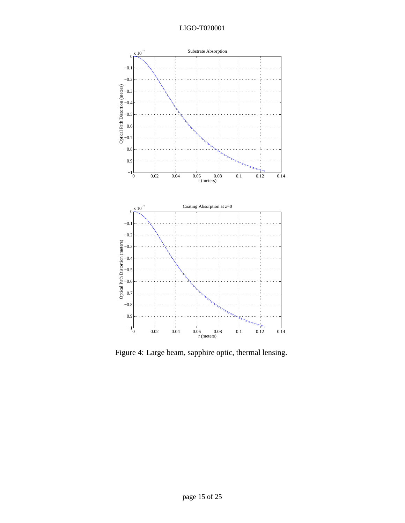

Figure 4: Large beam, sapphire optic, thermal lensing.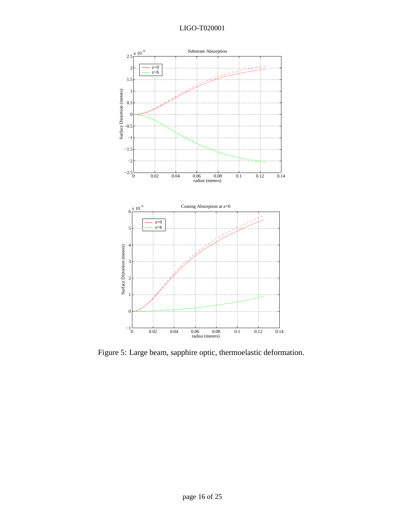

Figure 5: Large beam, sapphire optic, thermoelastic deformation.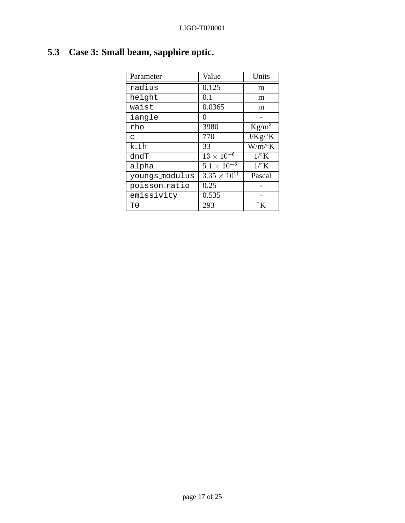| Parameter      | Value                | Units           |
|----------------|----------------------|-----------------|
| radius         | 0.125                | m               |
| height         | 0.1                  | m               |
| waist          | 0.0365               | m               |
| iangle         | 0                    |                 |
| rho            | 3980                 | $Kg/m^3$        |
| C              | 770                  | $J/Kg$ / $K$    |
| k_th           | 33                   | $W/m^{\circ}K$  |
| dndT           | $13 \times 10^{-6}$  | $1^\circ$ K     |
| alpha          | $5.1 \times 10^{-6}$ | $1^\circ$ K     |
| youngs_modulus | $3.35\times10^{11}$  | Pascal          |
| poisson ratio  | 0.25                 |                 |
| emissivity     | 0.535                |                 |
| T0             | 293                  | $\mathcal{C}$ K |

# **5.3 Case 3: Small beam, sapphire optic.**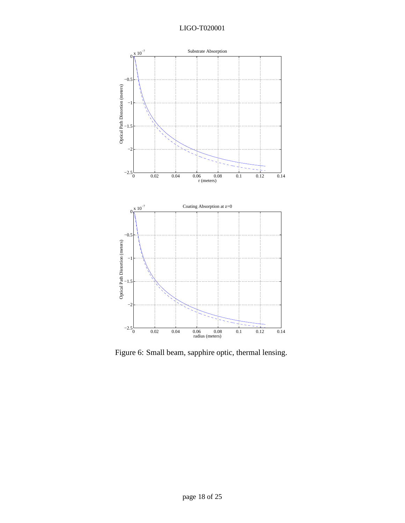

Figure 6: Small beam, sapphire optic, thermal lensing.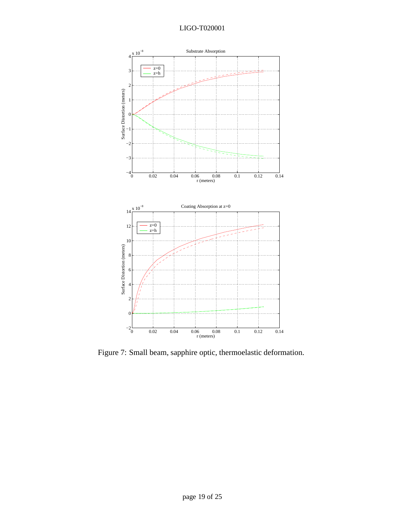

Figure 7: Small beam, sapphire optic, thermoelastic deformation.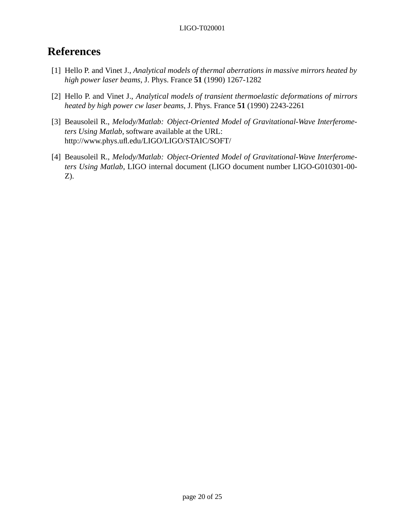# **References**

- [1] Hello P. and Vinet J., *Analytical models of thermal aberrations in massive mirrors heated by high power laser beams*, J. Phys. France **51** (1990) 1267-1282
- [2] Hello P. and Vinet J., *Analytical models of transient thermoelastic deformations of mirrors heated by high power cw laser beams*, J. Phys. France **51** (1990) 2243-2261
- [3] Beausoleil R., *Melody/Matlab: Object-Oriented Model of Gravitational-Wave Interferometers Using Matlab*, software available at the URL: http://www.phys.ufl.edu/LIGO/LIGO/STAIC/SOFT/
- [4] Beausoleil R., *Melody/Matlab: Object-Oriented Model of Gravitational-Wave Interferometers Using Matlab*, LIGO internal document (LIGO document number LIGO-G010301-00- Z).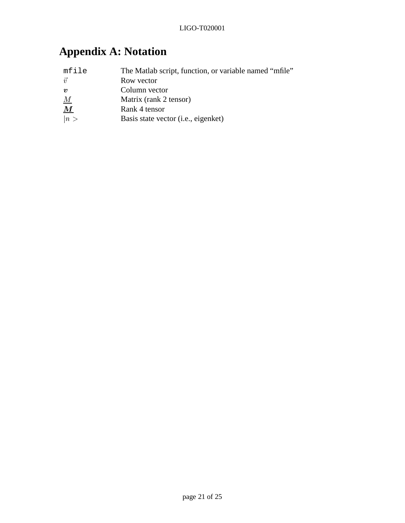# **Appendix A: Notation**

| mfile            | The Matlab script, function, or variable named "mfile" |
|------------------|--------------------------------------------------------|
| $\vec{v}$        | Row vector                                             |
| $\boldsymbol{v}$ | Column vector                                          |
|                  | Matrix (rank 2 tensor)                                 |
| $\frac{M}{M}$    | Rank 4 tensor                                          |
| n>               | Basis state vector ( <i>i.e.</i> , eigenket)           |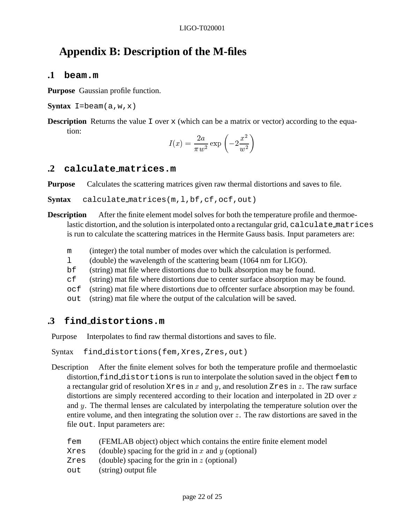# **Appendix B: Description of the M-files**

### **.1 beam.m**

**Purpose** Gaussian profile function.

**Syntax**  $I = \text{beam}(a, w, x)$ 

**Description** Returns the value I over  $x$  (which can be a matrix or vector) according to the equation:

$$
I(x) = \frac{2a}{\pi w^2} \exp\left(-2\frac{x^2}{w^2}\right)
$$

## **.2 calculate matrices.m**

**Purpose** Calculates the scattering matrices given raw thermal distortions and saves to file.

Syntax calculate\_matrices(m,l,bf,cf,ocf,out)

- **Description** After the finite element model solves for both the temperature profile and thermoelastic distortion, and the solution is interpolated onto a rectangular grid, calculate matrices is run to calculate the scattering matrices in the Hermite Gauss basis. Input parameters are:
	- m (integer) the total number of modes over which the calculation is performed.
	- l (double) the wavelength of the scattering beam (1064 nm for LIGO).
	- bf (string) mat file where distortions due to bulk absorption may be found.
	- cf (string) mat file where distortions due to center surface absorption may be found.
	- ocf (string) mat file where distortions due to offcenter surface absorption may be found.
	- out (string) mat file where the output of the calculation will be saved.

## **.3 find distortions.m**

Purpose Interpolates to find raw thermal distortions and saves to file.

Syntax find\_distortions(fem, Xres, Zres, out)

- Description After the finite element solves for both the temperature profile and thermoelastic distortion,find distortions is run to interpolate the solution saved in the object fem to a rectangular grid of resolution  $X_{\text{res}}$  in x and y, and resolution  $Z_{\text{res}}$  in z. The raw surface distortions are simply recentered according to their location and interpolated in 2D over x and <sup>y</sup>. The thermal lenses are calculated by interpolating the temperature solution over the entire volume, and then integrating the solution over  $z$ . The raw distortions are saved in the file out. Input parameters are:
	- fem (FEMLAB object) object which contains the entire finite element model
	- Xres (double) spacing for the grid in x and y (optional)
	- Zres (double) spacing for the grin in  $z$  (optional)
	- out (string) output file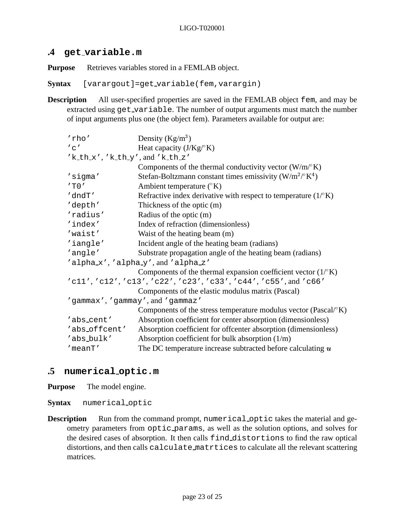## **.4 get variable.m**

**Purpose** Retrieves variables stored in a FEMLAB object.

**Syntax** [varargout]=get variable(fem,varargin)

**Description** All user-specified properties are saved in the FEMLAB object fem, and may be extracted using get\_variable. The number of output arguments must match the number of input arguments plus one (the object fem). Parameters available for output are:

| 'rho'                            | Density $(Kg/m^3)$                                                         |
|----------------------------------|----------------------------------------------------------------------------|
| $^{\prime}$ C $^{\prime}$        | Heat capacity $(J/Kg^{\circ}K)$                                            |
|                                  |                                                                            |
| 'k_th_x','k_th_y',and'k_th_z'    |                                                                            |
|                                  | Components of the thermal conductivity vector $(W/m^{\circ}K)$             |
| 'sigma'                          | Stefan-Boltzmann constant times emissivity ( $W/m^2$ / $K^4$ )             |
| $'$ T $0'$                       | Ambient temperature $({}^{\circ}K)$                                        |
| 'dndT'                           | Refractive index derivative with respect to temperature $(1)^{\circ}$ K)   |
| 'depth'                          | Thickness of the optic (m)                                                 |
| 'radius'                         | Radius of the optic (m)                                                    |
| 'index'                          | Index of refraction (dimensionless)                                        |
| 'waist'                          | Waist of the heating beam (m)                                              |
| 'iangle'                         | Incident angle of the heating beam (radians)                               |
| 'angle'                          | Substrate propagation angle of the heating beam (radians)                  |
|                                  | 'alphax', 'alphay', and 'alpha_z'                                          |
|                                  | Components of the thermal expansion coefficient vector $(1)^{\circ}$ K)    |
|                                  | 'cll','cl2','cl3','c22','c23','c33','c44','c55',and'c66'                   |
|                                  | Components of the elastic modulus matrix (Pascal)                          |
| 'gammax', 'gammay', and 'gammaz' |                                                                            |
|                                  | Components of the stress temperature modulus vector (Pascal/ $(K)$ )       |
| 'abs_cent'                       | Absorption coefficient for center absorption (dimensionless)               |
| 'abs_offcent'                    | Absorption coefficient for offcenter absorption (dimensionless)            |
| 'abs_bulk'                       | Absorption coefficient for bulk absorption $(1/m)$                         |
| 'meanT'                          | The DC temperature increase subtracted before calculating $\boldsymbol{u}$ |

## **.5 numerical optic.m**

**Purpose** The model engine.

**Syntax** numerical optic

**Description** Run from the command prompt, numerical optic takes the material and geometry parameters from optic params, as well as the solution options, and solves for the desired cases of absorption. It then calls find distortions to find the raw optical distortions, and then calls calculate matrtices to calculate all the relevant scattering matrices.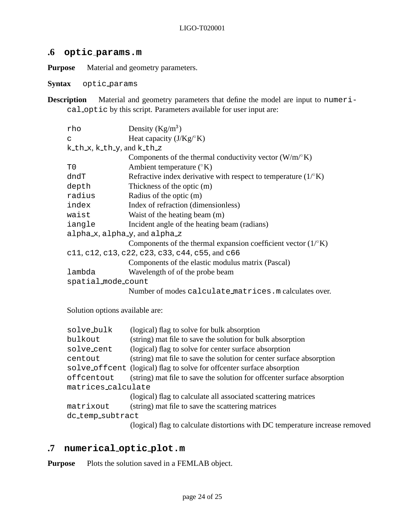## **.6 optic params.m**

**Purpose** Material and geometry parameters.

**Syntax** optic params

**Description** Material and geometry parameters that define the model are input to numerical optic by this script. Parameters available for user input are:

| rho                        | Density $(Kg/m^3)$                                                       |
|----------------------------|--------------------------------------------------------------------------|
| C                          | Heat capacity $(J/Kg^{\circ}K)$                                          |
| k_th_x, k_th_y, and k_th_z |                                                                          |
|                            | Components of the thermal conductivity vector $(W/m^{\circ}K)$           |
| T0                         | Ambient temperature $({}^{\circ}K)$                                      |
| dndT                       | Refractive index derivative with respect to temperature $(1)^{\circ}$ K) |
| depth                      | Thickness of the optic (m)                                               |
| radius                     | Radius of the optic (m)                                                  |
| index                      | Index of refraction (dimensionless)                                      |
| waist                      | Waist of the heating beam (m)                                            |
| iangle                     | Incident angle of the heating beam (radians)                             |
| alphax, alphay, and alphaz |                                                                          |
|                            | Components of the thermal expansion coefficient vector $(1)^{\circ}$ K)  |
|                            | c11, c12, c13, c22, c23, c33, c44, c55, and c66                          |
|                            | Components of the elastic modulus matrix (Pascal)                        |
| lambda                     | Wavelength of of the probe beam                                          |
| spatial mode count         |                                                                          |
|                            | Number of modes calculate_matrices.m calculates over.                    |
|                            |                                                                          |

Solution options available are:

| solve_bulk         | (logical) flag to solve for bulk absorption                                  |
|--------------------|------------------------------------------------------------------------------|
| bulkout            | (string) mat file to save the solution for bulk absorption                   |
| solve_cent         | (logical) flag to solve for center surface absorption                        |
| centout            | (string) mat file to save the solution for center surface absorption         |
|                    | solve_offcent (logical) flag to solve for offcenter surface absorption       |
| offcentout         | (string) mat file to save the solution for offcenter surface absorption      |
| matrices_calculate |                                                                              |
|                    | (logical) flag to calculate all associated scattering matrices               |
| matrixout          | (string) mat file to save the scattering matrices                            |
| dc_temp_subtract   |                                                                              |
|                    | (logical) flag to calculate distortions with DC temperature increase removed |

# **.7 numerical optic plot.m**

**Purpose** Plots the solution saved in a FEMLAB object.